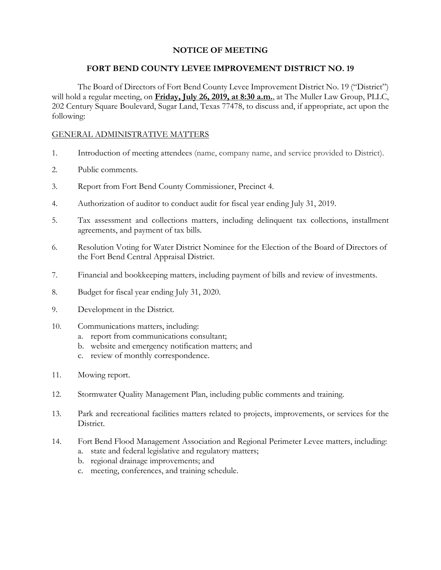# **NOTICE OF MEETING**

### **FORT BEND COUNTY LEVEE IMPROVEMENT DISTRICT NO. 19**

The Board of Directors of Fort Bend County Levee Improvement District No. 19 ("District") will hold a regular meeting, on **Friday, July 26, 2019, at 8:30 a.m.**, at The Muller Law Group, PLLC, 202 Century Square Boulevard, Sugar Land, Texas 77478, to discuss and, if appropriate, act upon the following:

## GENERAL ADMINISTRATIVE MATTERS

- 1. Introduction of meeting attendees (name, company name, and service provided to District).
- 2. Public comments.
- 3. Report from Fort Bend County Commissioner, Precinct 4.
- 4. Authorization of auditor to conduct audit for fiscal year ending July 31, 2019.
- 5. Tax assessment and collections matters, including delinquent tax collections, installment agreements, and payment of tax bills.
- 6. Resolution Voting for Water District Nominee for the Election of the Board of Directors of the Fort Bend Central Appraisal District.
- 7. Financial and bookkeeping matters, including payment of bills and review of investments.
- 8. Budget for fiscal year ending July 31, 2020.
- 9. Development in the District.
- 10. Communications matters, including:
	- a. report from communications consultant;
	- b. website and emergency notification matters; and
	- c. review of monthly correspondence.
- 11. Mowing report.
- 12. Stormwater Quality Management Plan, including public comments and training.
- 13. Park and recreational facilities matters related to projects, improvements, or services for the District.
- 14. Fort Bend Flood Management Association and Regional Perimeter Levee matters, including:
	- a. state and federal legislative and regulatory matters;
	- b. regional drainage improvements; and
	- c. meeting, conferences, and training schedule.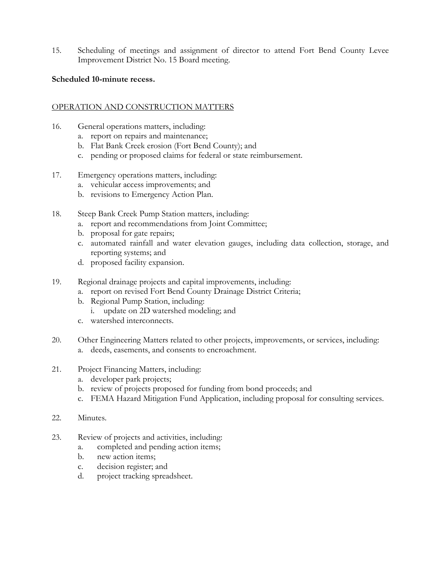15. Scheduling of meetings and assignment of director to attend Fort Bend County Levee Improvement District No. 15 Board meeting.

### **Scheduled 10-minute recess.**

# OPERATION AND CONSTRUCTION MATTERS

- 16. General operations matters, including:
	- a. report on repairs and maintenance;
	- b. Flat Bank Creek erosion (Fort Bend County); and
	- c. pending or proposed claims for federal or state reimbursement.
- 17. Emergency operations matters, including:
	- a. vehicular access improvements; and
	- b. revisions to Emergency Action Plan.
- 18. Steep Bank Creek Pump Station matters, including:
	- a. report and recommendations from Joint Committee;
	- b. proposal for gate repairs;
	- c. automated rainfall and water elevation gauges, including data collection, storage, and reporting systems; and
	- d. proposed facility expansion.
- 19. Regional drainage projects and capital improvements, including:
	- a. report on revised Fort Bend County Drainage District Criteria;
	- b. Regional Pump Station, including:
		- i. update on 2D watershed modeling; and
	- c. watershed interconnects.
- 20. Other Engineering Matters related to other projects, improvements, or services, including:
	- a. deeds, easements, and consents to encroachment.
- 21. Project Financing Matters, including:
	- a. developer park projects;
	- b. review of projects proposed for funding from bond proceeds; and
	- c. FEMA Hazard Mitigation Fund Application, including proposal for consulting services.
- 22. Minutes.
- 23. Review of projects and activities, including:
	- a. completed and pending action items;
	- b. new action items;
	- c. decision register; and
	- d. project tracking spreadsheet.